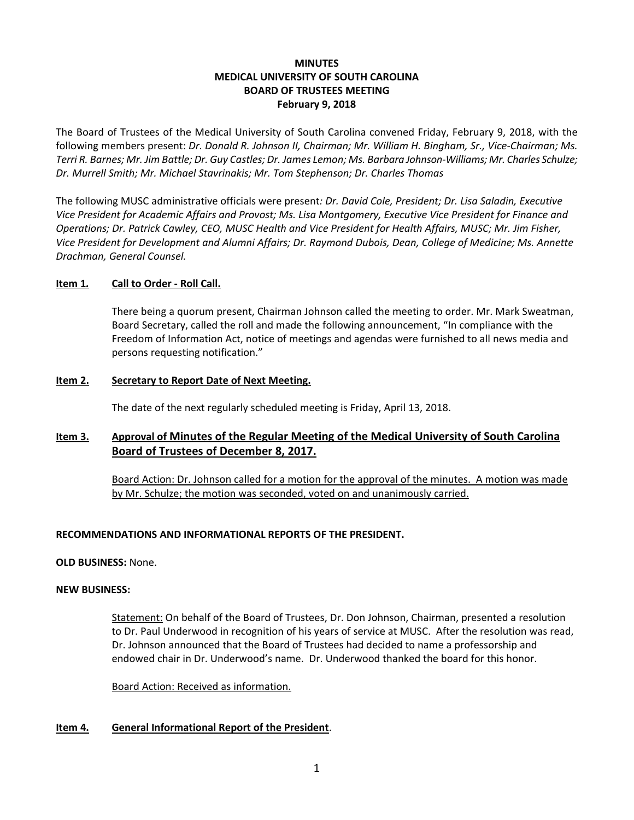# **MINUTES MEDICAL UNIVERSITY OF SOUTH CAROLINA BOARD OF TRUSTEES MEETING February 9, 2018**

The Board of Trustees of the Medical University of South Carolina convened Friday, February 9, 2018, with the following members present: *Dr. Donald R. Johnson II, Chairman; Mr. William H. Bingham, Sr., Vice-Chairman; Ms. Terri R. Barnes; Mr. Jim Battle; Dr. Guy Castles; Dr. James Lemon; Ms. Barbara Johnson-Williams; Mr. Charles Schulze; Dr. Murrell Smith; Mr. Michael Stavrinakis; Mr. Tom Stephenson; Dr. Charles Thomas*

The following MUSC administrative officials were present*: Dr. David Cole, President; Dr. Lisa Saladin, Executive Vice President for Academic Affairs and Provost; Ms. Lisa Montgomery, Executive Vice President for Finance and Operations; Dr. Patrick Cawley, CEO, MUSC Health and Vice President for Health Affairs, MUSC; Mr. Jim Fisher, Vice President for Development and Alumni Affairs; Dr. Raymond Dubois, Dean, College of Medicine; Ms. Annette Drachman, General Counsel.*

### **Item 1***.* **Call to Order - Roll Call.**

There being a quorum present, Chairman Johnson called the meeting to order. Mr. Mark Sweatman, Board Secretary, called the roll and made the following announcement, "In compliance with the Freedom of Information Act, notice of meetings and agendas were furnished to all news media and persons requesting notification."

### **Item 2. Secretary to Report Date of Next Meeting.**

The date of the next regularly scheduled meeting is Friday, April 13, 2018.

# **Item 3. Approval of Minutes of the Regular Meeting of the Medical University of South Carolina Board of Trustees of December 8, 2017.**

Board Action: Dr. Johnson called for a motion for the approval of the minutes. A motion was made by Mr. Schulze; the motion was seconded, voted on and unanimously carried.

# **RECOMMENDATIONS AND INFORMATIONAL REPORTS OF THE PRESIDENT.**

**OLD BUSINESS:** None.

### **NEW BUSINESS:**

Statement: On behalf of the Board of Trustees, Dr. Don Johnson, Chairman, presented a resolution to Dr. Paul Underwood in recognition of his years of service at MUSC. After the resolution was read, Dr. Johnson announced that the Board of Trustees had decided to name a professorship and endowed chair in Dr. Underwood's name. Dr. Underwood thanked the board for this honor.

Board Action: Received as information.

### **Item 4. General Informational Report of the President**.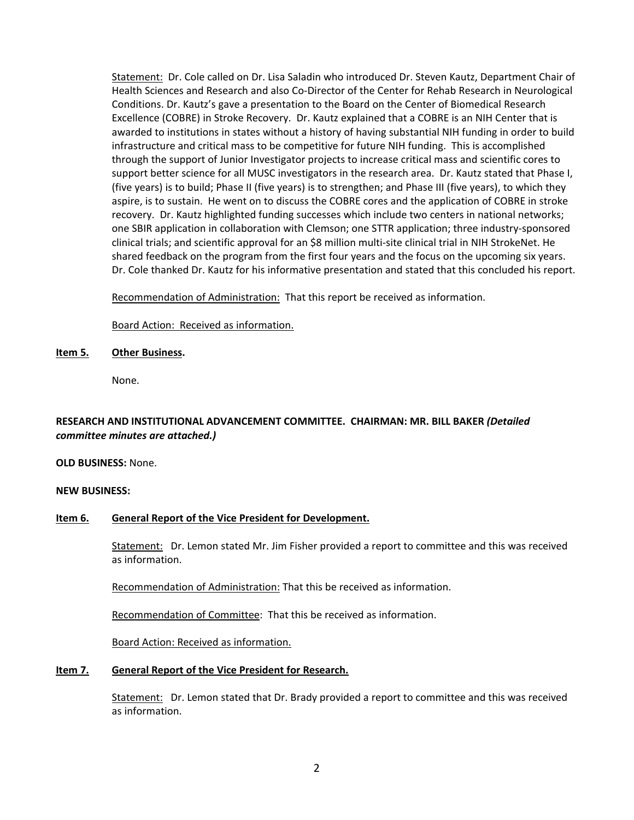Statement: Dr. Cole called on Dr. Lisa Saladin who introduced Dr. Steven Kautz, Department Chair of Health Sciences and Research and also Co-Director of the Center for Rehab Research in Neurological Conditions. Dr. Kautz's gave a presentation to the Board on the Center of Biomedical Research Excellence (COBRE) in Stroke Recovery. Dr. Kautz explained that a COBRE is an NIH Center that is awarded to institutions in states without a history of having substantial NIH funding in order to build infrastructure and critical mass to be competitive for future NIH funding. This is accomplished through the support of Junior Investigator projects to increase critical mass and scientific cores to support better science for all MUSC investigators in the research area. Dr. Kautz stated that Phase I, (five years) is to build; Phase II (five years) is to strengthen; and Phase III (five years), to which they aspire, is to sustain. He went on to discuss the COBRE cores and the application of COBRE in stroke recovery. Dr. Kautz highlighted funding successes which include two centers in national networks; one SBIR application in collaboration with Clemson; one STTR application; three industry-sponsored clinical trials; and scientific approval for an \$8 million multi-site clinical trial in NIH StrokeNet. He shared feedback on the program from the first four years and the focus on the upcoming six years. Dr. Cole thanked Dr. Kautz for his informative presentation and stated that this concluded his report.

Recommendation of Administration: That this report be received as information.

Board Action: Received as information.

#### **Item 5. Other Business.**

None.

# **RESEARCH AND INSTITUTIONAL ADVANCEMENT COMMITTEE. CHAIRMAN: MR. BILL BAKER** *(Detailed committee minutes are attached.)*

**OLD BUSINESS:** None.

#### **NEW BUSINESS:**

### **Item 6. General Report of the Vice President for Development.**

Statement: Dr. Lemon stated Mr. Jim Fisher provided a report to committee and this was received as information.

Recommendation of Administration: That this be received as information.

Recommendation of Committee: That this be received as information.

Board Action: Received as information.

### **Item 7. General Report of the Vice President for Research.**

Statement: Dr. Lemon stated that Dr. Brady provided a report to committee and this was received as information.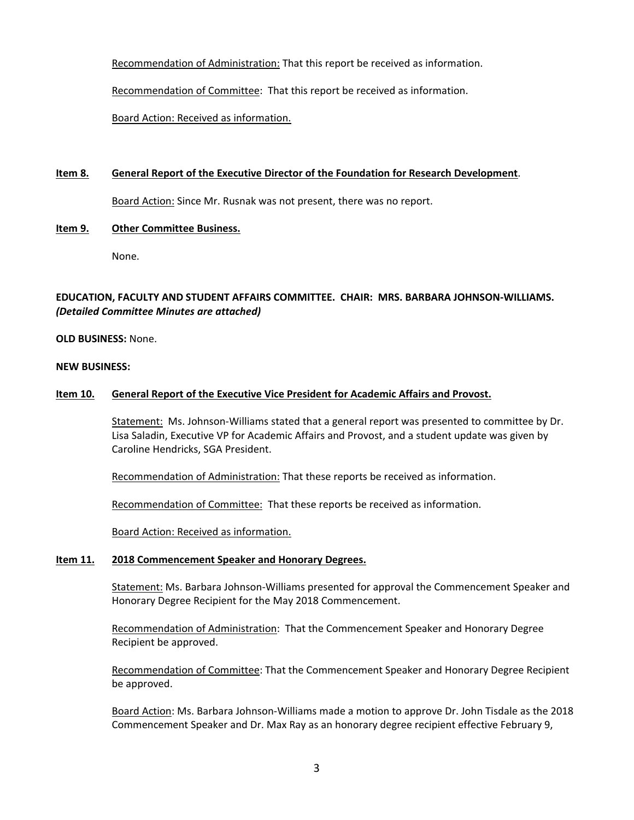Recommendation of Administration: That this report be received as information.

Recommendation of Committee: That this report be received as information.

Board Action: Received as information.

### **Item 8. General Report of the Executive Director of the Foundation for Research Development**.

Board Action: Since Mr. Rusnak was not present, there was no report.

#### **Item 9. Other Committee Business.**

None.

# **EDUCATION, FACULTY AND STUDENT AFFAIRS COMMITTEE. CHAIR: MRS. BARBARA JOHNSON-WILLIAMS.** *(Detailed Committee Minutes are attached)*

#### **OLD BUSINESS:** None.

#### **NEW BUSINESS:**

#### **Item 10. General Report of the Executive Vice President for Academic Affairs and Provost.**

Statement: Ms. Johnson-Williams stated that a general report was presented to committee by Dr. Lisa Saladin, Executive VP for Academic Affairs and Provost, and a student update was given by Caroline Hendricks, SGA President.

Recommendation of Administration: That these reports be received as information.

Recommendation of Committee: That these reports be received as information.

Board Action: Received as information.

#### **Item 11. 2018 Commencement Speaker and Honorary Degrees.**

Statement: Ms. Barbara Johnson-Williams presented for approval the Commencement Speaker and Honorary Degree Recipient for the May 2018 Commencement.

Recommendation of Administration: That the Commencement Speaker and Honorary Degree Recipient be approved.

Recommendation of Committee: That the Commencement Speaker and Honorary Degree Recipient be approved.

Board Action: Ms. Barbara Johnson-Williams made a motion to approve Dr. John Tisdale as the 2018 Commencement Speaker and Dr. Max Ray as an honorary degree recipient effective February 9,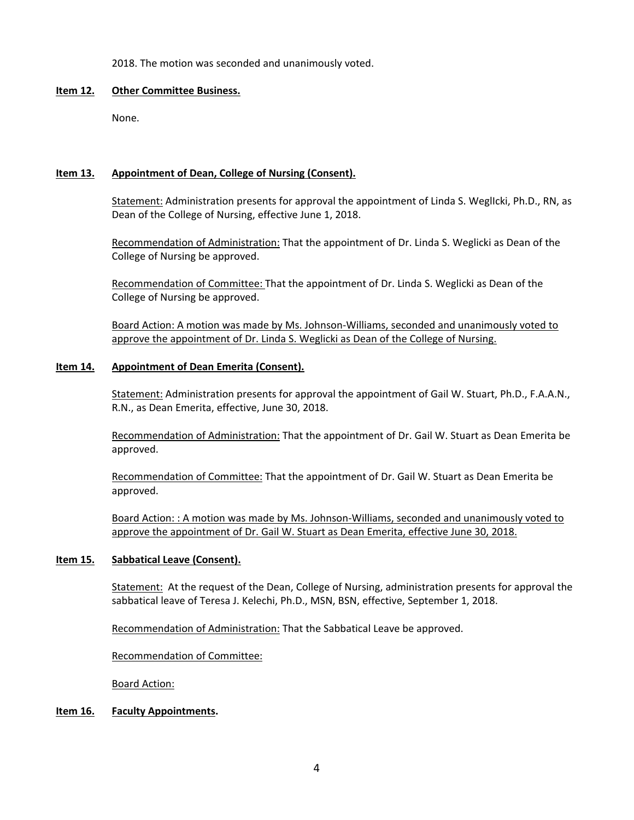2018. The motion was seconded and unanimously voted.

#### **Item 12. Other Committee Business.**

None.

### **Item 13. Appointment of Dean, College of Nursing (Consent).**

Statement: Administration presents for approval the appointment of Linda S. WeglIcki, Ph.D., RN, as Dean of the College of Nursing, effective June 1, 2018.

Recommendation of Administration: That the appointment of Dr. Linda S. Weglicki as Dean of the College of Nursing be approved.

Recommendation of Committee: That the appointment of Dr. Linda S. Weglicki as Dean of the College of Nursing be approved.

Board Action: A motion was made by Ms. Johnson-Williams, seconded and unanimously voted to approve the appointment of Dr. Linda S. Weglicki as Dean of the College of Nursing.

### **Item 14. Appointment of Dean Emerita (Consent).**

Statement: Administration presents for approval the appointment of Gail W. Stuart, Ph.D., F.A.A.N., R.N., as Dean Emerita, effective, June 30, 2018.

Recommendation of Administration: That the appointment of Dr. Gail W. Stuart as Dean Emerita be approved.

Recommendation of Committee: That the appointment of Dr. Gail W. Stuart as Dean Emerita be approved.

Board Action: : A motion was made by Ms. Johnson-Williams, seconded and unanimously voted to approve the appointment of Dr. Gail W. Stuart as Dean Emerita, effective June 30, 2018.

### **Item 15. Sabbatical Leave (Consent).**

Statement: At the request of the Dean, College of Nursing, administration presents for approval the sabbatical leave of Teresa J. Kelechi, Ph.D., MSN, BSN, effective, September 1, 2018.

Recommendation of Administration: That the Sabbatical Leave be approved.

Recommendation of Committee:

Board Action:

### **Item 16. Faculty Appointments.**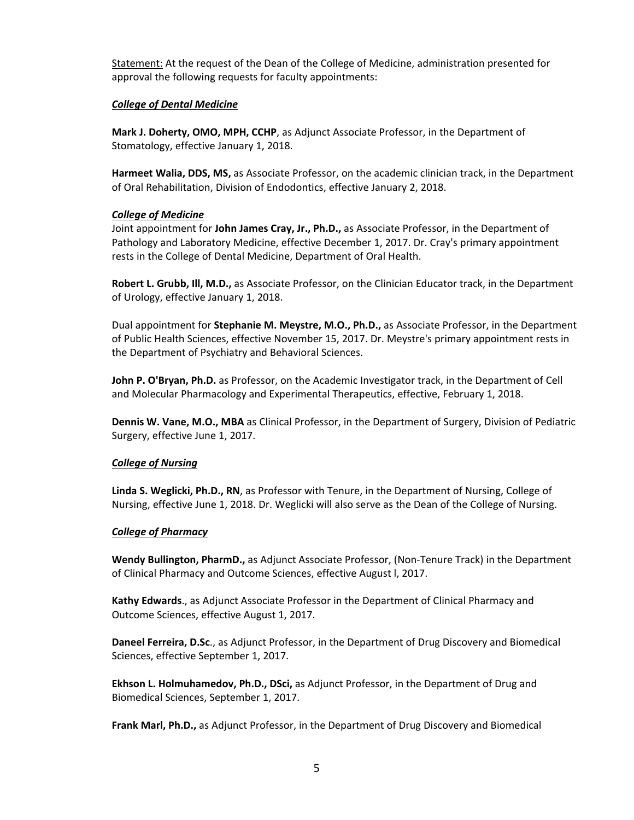Statement: At the request of the Dean of the College of Medicine, administration presented for approval the following requests for faculty appointments:

#### *College of Dental Medicine*

**Mark J. Doherty, OMO, MPH, CCHP**, as Adjunct Associate Professor, in the Department of Stomatology, effective January 1, 2018.

**Harmeet Walia, DDS, MS,** as Associate Professor, on the academic clinician track, in the Department of Oral Rehabilitation, Division of Endodontics, effective January 2, 2018.

### *College of Medicine*

Joint appointment for **John James Cray, Jr., Ph.D.,** as Associate Professor, in the Department of Pathology and Laboratory Medicine, effective December 1, 2017. Dr. Cray's primary appointment rests in the College of Dental Medicine, Department of Oral Health.

**Robert L. Grubb, Ill, M.D.,** as Associate Professor, on the Clinician Educator track, in the Department of Urology, effective January 1, 2018.

Dual appointment for **Stephanie M. Meystre, M.O., Ph.D.,** as Associate Professor, in the Department of Public Health Sciences, effective November 15, 2017. Dr. Meystre's primary appointment rests in the Department of Psychiatry and Behavioral Sciences.

**John P. O'Bryan, Ph.D.** as Professor, on the Academic Investigator track, in the Department of Cell and Molecular Pharmacology and Experimental Therapeutics, effective, February 1, 2018.

**Dennis W. Vane, M.O., MBA** as Clinical Professor, in the Department of Surgery, Division of Pediatric Surgery, effective June 1, 2017.

### *College of Nursing*

**Linda S. Weglicki, Ph.D., RN**, as Professor with Tenure, in the Department of Nursing, College of Nursing, effective June 1, 2018. Dr. Weglicki will also serve as the Dean of the College of Nursing.

### *College of Pharmacy*

**Wendy Bullington, PharmD.,** as Adjunct Associate Professor, (Non-Tenure Track) in the Department of Clinical Pharmacy and Outcome Sciences, effective August l, 2017.

**Kathy Edwards**., as Adjunct Associate Professor in the Department of Clinical Pharmacy and Outcome Sciences, effective August 1, 2017.

**Daneel Ferreira, D.Sc**., as Adjunct Professor, in the Department of Drug Discovery and Biomedical Sciences, effective September 1, 2017.

**Ekhson L. Holmuhamedov, Ph.D., DSci,** as Adjunct Professor, in the Department of Drug and Biomedical Sciences, September 1, 2017.

**Frank Marl, Ph.D.,** as Adjunct Professor, in the Department of Drug Discovery and Biomedical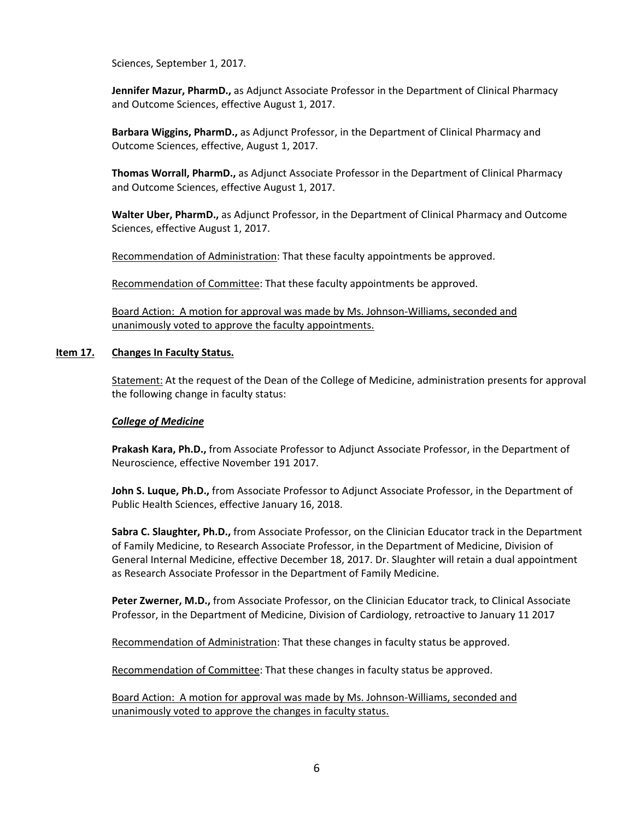Sciences, September 1, 2017.

**Jennifer Mazur, PharmD.,** as Adjunct Associate Professor in the Department of Clinical Pharmacy and Outcome Sciences, effective August 1, 2017.

**Barbara Wiggins, PharmD.,** as Adjunct Professor, in the Department of Clinical Pharmacy and Outcome Sciences, effective, August 1, 2017.

**Thomas Worrall, PharmD.,** as Adjunct Associate Professor in the Department of Clinical Pharmacy and Outcome Sciences, effective August 1, 2017.

**Walter Uber, PharmD.,** as Adjunct Professor, in the Department of Clinical Pharmacy and Outcome Sciences, effective August 1, 2017.

Recommendation of Administration: That these faculty appointments be approved.

Recommendation of Committee: That these faculty appointments be approved.

Board Action: A motion for approval was made by Ms. Johnson-Williams, seconded and unanimously voted to approve the faculty appointments.

#### **Item 17. Changes In Faculty Status.**

Statement: At the request of the Dean of the College of Medicine, administration presents for approval the following change in faculty status:

#### *College of Medicine*

**Prakash Kara, Ph.D.,** from Associate Professor to Adjunct Associate Professor, in the Department of Neuroscience, effective November 191 2017.

**John S. Luque, Ph.D.,** from Associate Professor to Adjunct Associate Professor, in the Department of Public Health Sciences, effective January 16, 2018.

**Sabra C. Slaughter, Ph.D.,** from Associate Professor, on the Clinician Educator track in the Department of Family Medicine, to Research Associate Professor, in the Department of Medicine, Division of General Internal Medicine, effective December 18, 2017. Dr. Slaughter will retain a dual appointment as Research Associate Professor in the Department of Family Medicine.

**Peter Zwerner, M.D.,** from Associate Professor, on the Clinician Educator track, to Clinical Associate Professor, in the Department of Medicine, Division of Cardiology, retroactive to January 11 2017

Recommendation of Administration: That these changes in faculty status be approved.

Recommendation of Committee: That these changes in faculty status be approved.

Board Action: A motion for approval was made by Ms. Johnson-Williams, seconded and unanimously voted to approve the changes in faculty status.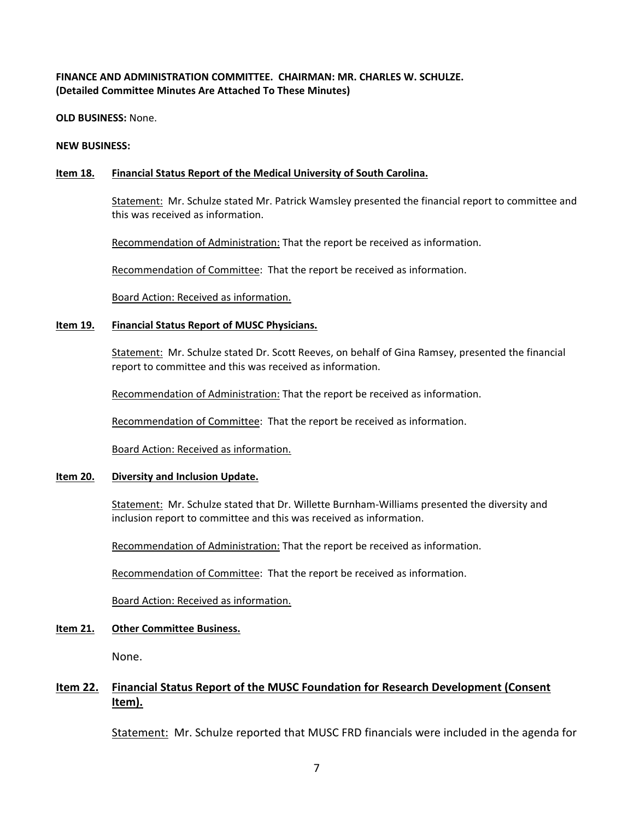# **FINANCE AND ADMINISTRATION COMMITTEE. CHAIRMAN: MR. CHARLES W. SCHULZE. (Detailed Committee Minutes Are Attached To These Minutes)**

**OLD BUSINESS:** None.

**NEW BUSINESS:** 

## **Item 18. Financial Status Report of the Medical University of South Carolina.**

Statement: Mr. Schulze stated Mr. Patrick Wamsley presented the financial report to committee and this was received as information.

Recommendation of Administration: That the report be received as information.

Recommendation of Committee: That the report be received as information.

Board Action: Received as information.

#### **Item 19. Financial Status Report of MUSC Physicians.**

Statement: Mr. Schulze stated Dr. Scott Reeves, on behalf of Gina Ramsey, presented the financial report to committee and this was received as information.

Recommendation of Administration: That the report be received as information.

Recommendation of Committee: That the report be received as information.

Board Action: Received as information.

### **Item 20. Diversity and Inclusion Update.**

Statement: Mr. Schulze stated that Dr. Willette Burnham-Williams presented the diversity and inclusion report to committee and this was received as information.

Recommendation of Administration: That the report be received as information.

Recommendation of Committee: That the report be received as information.

Board Action: Received as information.

### **Item 21. Other Committee Business.**

None.

# **Item 22. Financial Status Report of the MUSC Foundation for Research Development (Consent Item).**

Statement: Mr. Schulze reported that MUSC FRD financials were included in the agenda for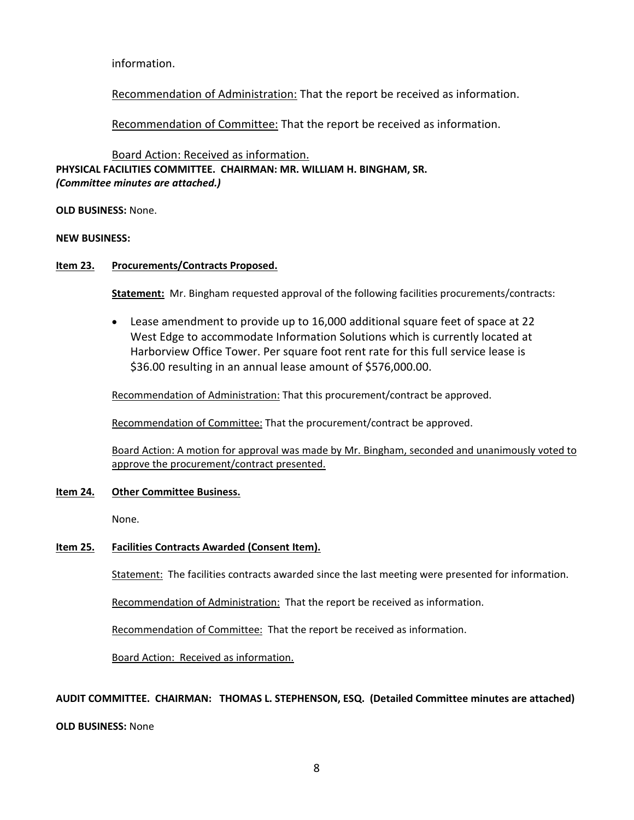information.

Recommendation of Administration: That the report be received as information.

Recommendation of Committee: That the report be received as information.

Board Action: Received as information.

**PHYSICAL FACILITIES COMMITTEE. CHAIRMAN: MR. WILLIAM H. BINGHAM, SR.**  *(Committee minutes are attached.)*

**OLD BUSINESS:** None.

**NEW BUSINESS:**

### **Item 23. Procurements/Contracts Proposed.**

**Statement:** Mr. Bingham requested approval of the following facilities procurements/contracts:

• Lease amendment to provide up to 16,000 additional square feet of space at 22 West Edge to accommodate Information Solutions which is currently located at Harborview Office Tower. Per square foot rent rate for this full service lease is \$36.00 resulting in an annual lease amount of \$576,000.00.

Recommendation of Administration: That this procurement/contract be approved.

Recommendation of Committee: That the procurement/contract be approved.

Board Action: A motion for approval was made by Mr. Bingham, seconded and unanimously voted to approve the procurement/contract presented.

### **Item 24. Other Committee Business.**

None.

### **Item 25. Facilities Contracts Awarded (Consent Item).**

Statement: The facilities contracts awarded since the last meeting were presented for information.

Recommendation of Administration: That the report be received as information.

Recommendation of Committee: That the report be received as information.

Board Action: Received as information.

### **AUDIT COMMITTEE. CHAIRMAN: THOMAS L. STEPHENSON, ESQ. (Detailed Committee minutes are attached)**

#### **OLD BUSINESS:** None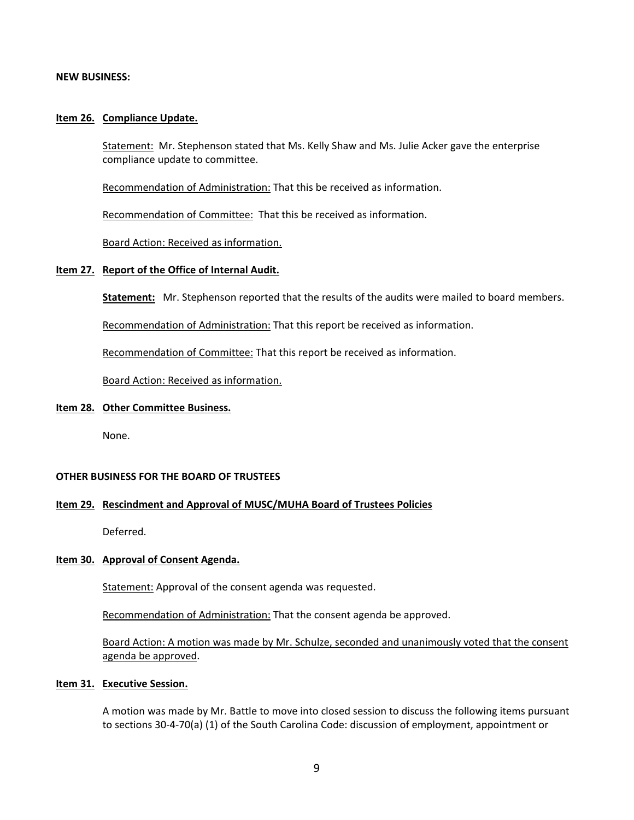#### **NEW BUSINESS:**

#### **Item 26. Compliance Update.**

Statement: Mr. Stephenson stated that Ms. Kelly Shaw and Ms. Julie Acker gave the enterprise compliance update to committee.

Recommendation of Administration: That this be received as information.

Recommendation of Committee: That this be received as information.

Board Action: Received as information.

#### **Item 27. Report of the Office of Internal Audit.**

**Statement:** Mr. Stephenson reported that the results of the audits were mailed to board members.

Recommendation of Administration: That this report be received as information.

Recommendation of Committee: That this report be received as information.

Board Action: Received as information.

#### **Item 28. Other Committee Business.**

None.

#### **OTHER BUSINESS FOR THE BOARD OF TRUSTEES**

#### **Item 29. Rescindment and Approval of MUSC/MUHA Board of Trustees Policies**

Deferred.

#### **Item 30. Approval of Consent Agenda.**

Statement: Approval of the consent agenda was requested.

Recommendation of Administration: That the consent agenda be approved.

Board Action: A motion was made by Mr. Schulze, seconded and unanimously voted that the consent agenda be approved.

#### **Item 31. Executive Session.**

A motion was made by Mr. Battle to move into closed session to discuss the following items pursuant to sections 30-4-70(a) (1) of the South Carolina Code: discussion of employment, appointment or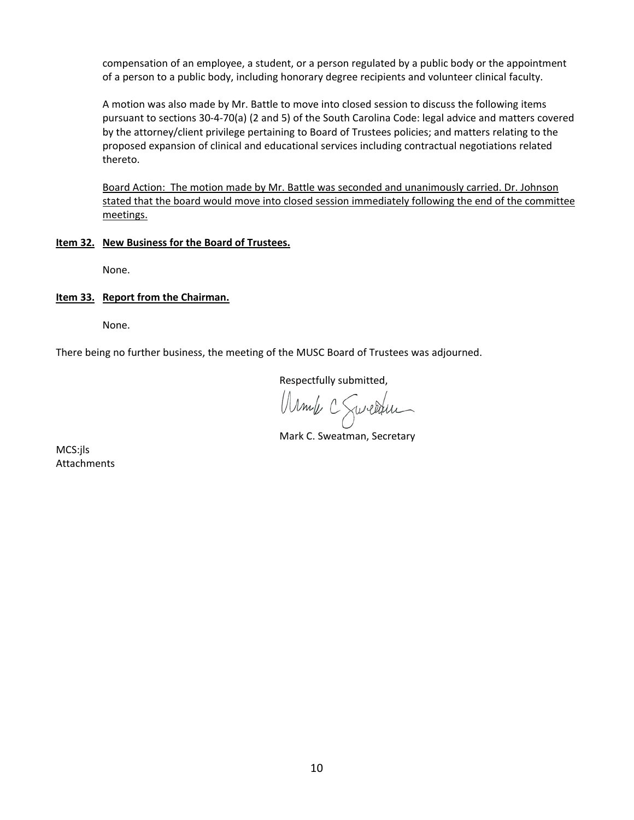compensation of an employee, a student, or a person regulated by a public body or the appointment of a person to a public body, including honorary degree recipients and volunteer clinical faculty.

A motion was also made by Mr. Battle to move into closed session to discuss the following items pursuant to sections 30-4-70(a) (2 and 5) of the South Carolina Code: legal advice and matters covered by the attorney/client privilege pertaining to Board of Trustees policies; and matters relating to the proposed expansion of clinical and educational services including contractual negotiations related thereto.

Board Action: The motion made by Mr. Battle was seconded and unanimously carried. Dr. Johnson stated that the board would move into closed session immediately following the end of the committee meetings.

#### **Item 32. New Business for the Board of Trustees.**

None.

#### **Item 33. Report from the Chairman.**

None.

There being no further business, the meeting of the MUSC Board of Trustees was adjourned.

Respectfully submitted,

Munch C Sweathlen

MCS:jls Attachments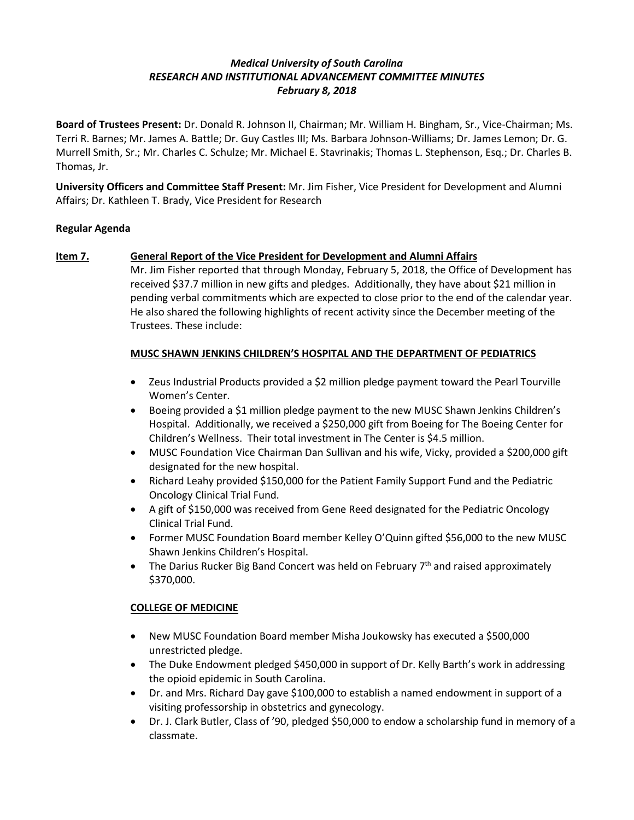# *Medical University of South Carolina RESEARCH AND INSTITUTIONAL ADVANCEMENT COMMITTEE MINUTES February 8, 2018*

**Board of Trustees Present:** Dr. Donald R. Johnson II, Chairman; Mr. William H. Bingham, Sr., Vice-Chairman; Ms. Terri R. Barnes; Mr. James A. Battle; Dr. Guy Castles III; Ms. Barbara Johnson-Williams; Dr. James Lemon; Dr. G. Murrell Smith, Sr.; Mr. Charles C. Schulze; Mr. Michael E. Stavrinakis; Thomas L. Stephenson, Esq.; Dr. Charles B. Thomas, Jr.

**University Officers and Committee Staff Present:** Mr. Jim Fisher, Vice President for Development and Alumni Affairs; Dr. Kathleen T. Brady, Vice President for Research

# **Regular Agenda**

# **Item 7. General Report of the Vice President for Development and Alumni Affairs**

Mr. Jim Fisher reported that through Monday, February 5, 2018, the Office of Development has received \$37.7 million in new gifts and pledges. Additionally, they have about \$21 million in pending verbal commitments which are expected to close prior to the end of the calendar year. He also shared the following highlights of recent activity since the December meeting of the Trustees. These include:

# **MUSC SHAWN JENKINS CHILDREN'S HOSPITAL AND THE DEPARTMENT OF PEDIATRICS**

- Zeus Industrial Products provided a \$2 million pledge payment toward the Pearl Tourville Women's Center.
- Boeing provided a \$1 million pledge payment to the new MUSC Shawn Jenkins Children's Hospital. Additionally, we received a \$250,000 gift from Boeing for The Boeing Center for Children's Wellness. Their total investment in The Center is \$4.5 million.
- MUSC Foundation Vice Chairman Dan Sullivan and his wife, Vicky, provided a \$200,000 gift designated for the new hospital.
- Richard Leahy provided \$150,000 for the Patient Family Support Fund and the Pediatric Oncology Clinical Trial Fund.
- A gift of \$150,000 was received from Gene Reed designated for the Pediatric Oncology Clinical Trial Fund.
- Former MUSC Foundation Board member Kelley O'Quinn gifted \$56,000 to the new MUSC Shawn Jenkins Children's Hospital.
- The Darius Rucker Big Band Concert was held on February  $7<sup>th</sup>$  and raised approximately \$370,000.

### **COLLEGE OF MEDICINE**

- New MUSC Foundation Board member Misha Joukowsky has executed a \$500,000 unrestricted pledge.
- The Duke Endowment pledged \$450,000 in support of Dr. Kelly Barth's work in addressing the opioid epidemic in South Carolina.
- Dr. and Mrs. Richard Day gave \$100,000 to establish a named endowment in support of a visiting professorship in obstetrics and gynecology.
- Dr. J. Clark Butler, Class of '90, pledged \$50,000 to endow a scholarship fund in memory of a classmate.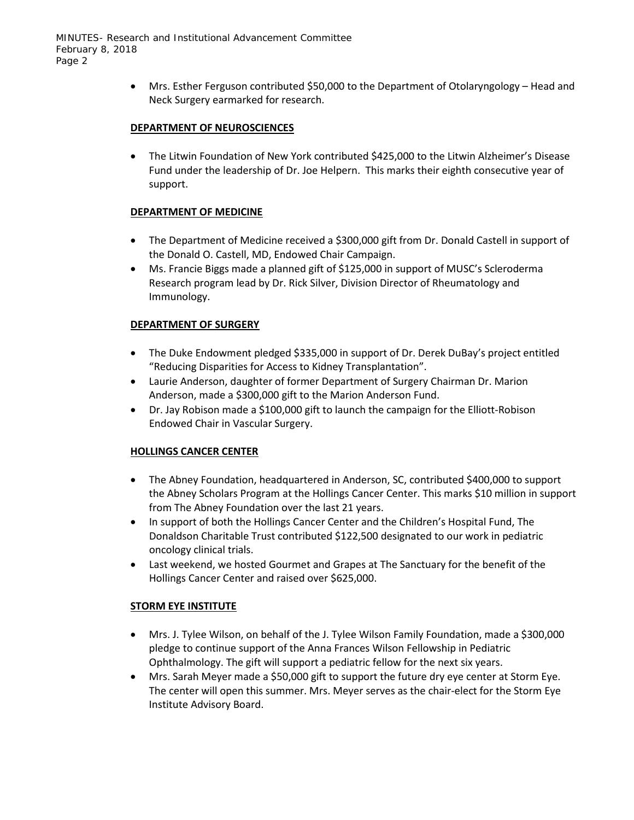• Mrs. Esther Ferguson contributed \$50,000 to the Department of Otolaryngology – Head and Neck Surgery earmarked for research.

## **DEPARTMENT OF NEUROSCIENCES**

• The Litwin Foundation of New York contributed \$425,000 to the Litwin Alzheimer's Disease Fund under the leadership of Dr. Joe Helpern. This marks their eighth consecutive year of support.

# **DEPARTMENT OF MEDICINE**

- The Department of Medicine received a \$300,000 gift from Dr. Donald Castell in support of the Donald O. Castell, MD, Endowed Chair Campaign.
- Ms. Francie Biggs made a planned gift of \$125,000 in support of MUSC's Scleroderma Research program lead by Dr. Rick Silver, Division Director of Rheumatology and Immunology.

# **DEPARTMENT OF SURGERY**

- The Duke Endowment pledged \$335,000 in support of Dr. Derek DuBay's project entitled "Reducing Disparities for Access to Kidney Transplantation".
- Laurie Anderson, daughter of former Department of Surgery Chairman Dr. Marion Anderson, made a \$300,000 gift to the Marion Anderson Fund.
- Dr. Jay Robison made a \$100,000 gift to launch the campaign for the Elliott-Robison Endowed Chair in Vascular Surgery.

### **HOLLINGS CANCER CENTER**

- The Abney Foundation, headquartered in Anderson, SC, contributed \$400,000 to support the Abney Scholars Program at the Hollings Cancer Center. This marks \$10 million in support from The Abney Foundation over the last 21 years.
- In support of both the Hollings Cancer Center and the Children's Hospital Fund, The Donaldson Charitable Trust contributed \$122,500 designated to our work in pediatric oncology clinical trials.
- Last weekend, we hosted Gourmet and Grapes at The Sanctuary for the benefit of the Hollings Cancer Center and raised over \$625,000.

# **STORM EYE INSTITUTE**

- Mrs. J. Tylee Wilson, on behalf of the J. Tylee Wilson Family Foundation, made a \$300,000 pledge to continue support of the Anna Frances Wilson Fellowship in Pediatric Ophthalmology. The gift will support a pediatric fellow for the next six years.
- Mrs. Sarah Meyer made a \$50,000 gift to support the future dry eye center at Storm Eye. The center will open this summer. Mrs. Meyer serves as the chair-elect for the Storm Eye Institute Advisory Board.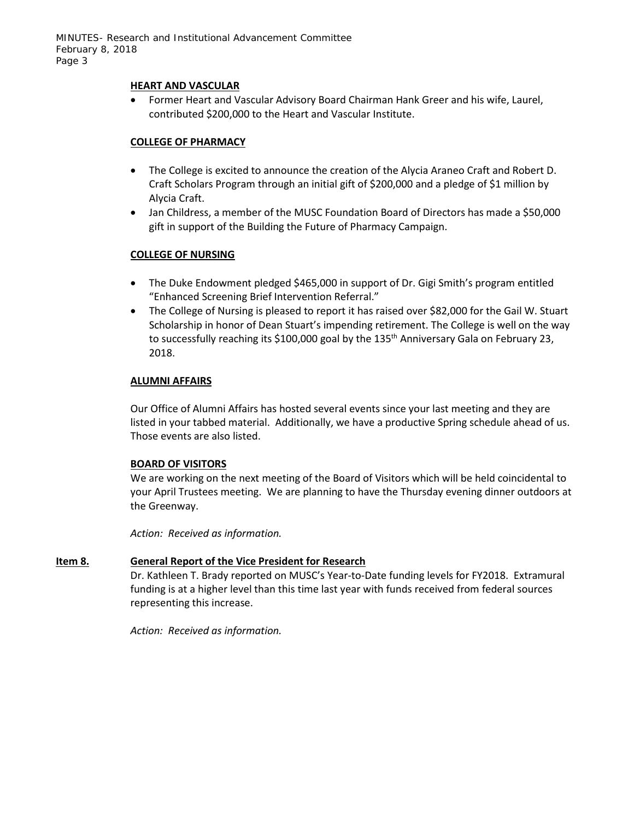#### **HEART AND VASCULAR**

• Former Heart and Vascular Advisory Board Chairman Hank Greer and his wife, Laurel, contributed \$200,000 to the Heart and Vascular Institute.

### **COLLEGE OF PHARMACY**

- The College is excited to announce the creation of the Alycia Araneo Craft and Robert D. Craft Scholars Program through an initial gift of \$200,000 and a pledge of \$1 million by Alycia Craft.
- Jan Childress, a member of the MUSC Foundation Board of Directors has made a \$50,000 gift in support of the Building the Future of Pharmacy Campaign.

# **COLLEGE OF NURSING**

- The Duke Endowment pledged \$465,000 in support of Dr. Gigi Smith's program entitled "Enhanced Screening Brief Intervention Referral."
- The College of Nursing is pleased to report it has raised over \$82,000 for the Gail W. Stuart Scholarship in honor of Dean Stuart's impending retirement. The College is well on the way to successfully reaching its \$100,000 goal by the  $135<sup>th</sup>$  Anniversary Gala on February 23, 2018.

### **ALUMNI AFFAIRS**

Our Office of Alumni Affairs has hosted several events since your last meeting and they are listed in your tabbed material. Additionally, we have a productive Spring schedule ahead of us. Those events are also listed.

### **BOARD OF VISITORS**

We are working on the next meeting of the Board of Visitors which will be held coincidental to your April Trustees meeting. We are planning to have the Thursday evening dinner outdoors at the Greenway.

*Action: Received as information.*

### **Item 8. General Report of the Vice President for Research**

Dr. Kathleen T. Brady reported on MUSC's Year-to-Date funding levels for FY2018. Extramural funding is at a higher level than this time last year with funds received from federal sources representing this increase.

*Action: Received as information.*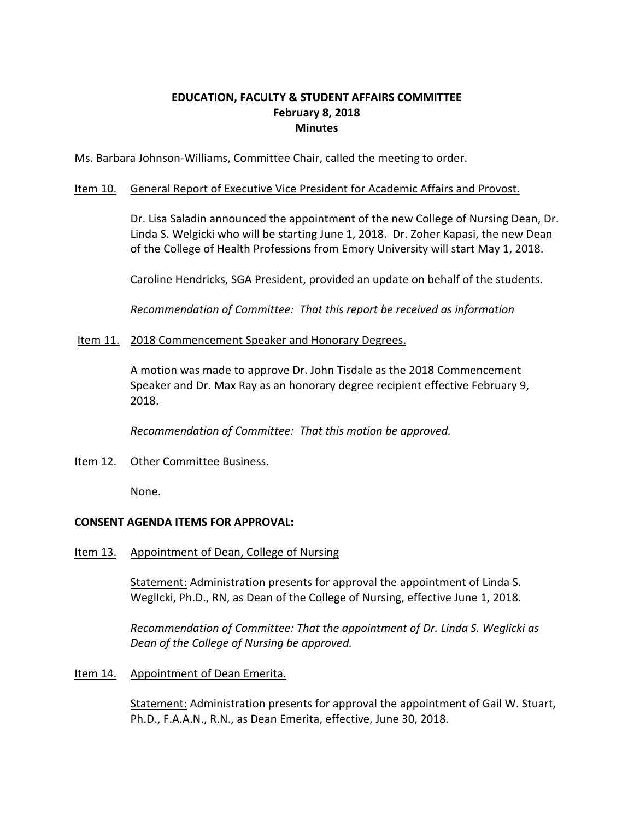# **EDUCATION, FACULTY & STUDENT AFFAIRS COMMITTEE February 8, 2018 Minutes**

Ms. Barbara Johnson-Williams, Committee Chair, called the meeting to order.

# Item 10. General Report of Executive Vice President for Academic Affairs and Provost.

Dr. Lisa Saladin announced the appointment of the new College of Nursing Dean, Dr. Linda S. Welgicki who will be starting June 1, 2018. Dr. Zoher Kapasi, the new Dean of the College of Health Professions from Emory University will start May 1, 2018.

Caroline Hendricks, SGA President, provided an update on behalf of the students.

*Recommendation of Committee: That this report be received as information*

### Item 11. 2018 Commencement Speaker and Honorary Degrees.

A motion was made to approve Dr. John Tisdale as the 2018 Commencement Speaker and Dr. Max Ray as an honorary degree recipient effective February 9, 2018.

*Recommendation of Committee: That this motion be approved.*

# Item 12. Other Committee Business.

None.

# **CONSENT AGENDA ITEMS FOR APPROVAL:**

Item 13. Appointment of Dean, College of Nursing

Statement: Administration presents for approval the appointment of Linda S. WeglIcki, Ph.D., RN, as Dean of the College of Nursing, effective June 1, 2018.

*Recommendation of Committee: That the appointment of Dr. Linda S. Weglicki as Dean of the College of Nursing be approved.*

Item 14. Appointment of Dean Emerita.

**Statement:** Administration presents for approval the appointment of Gail W. Stuart, Ph.D., F.A.A.N., R.N., as Dean Emerita, effective, June 30, 2018.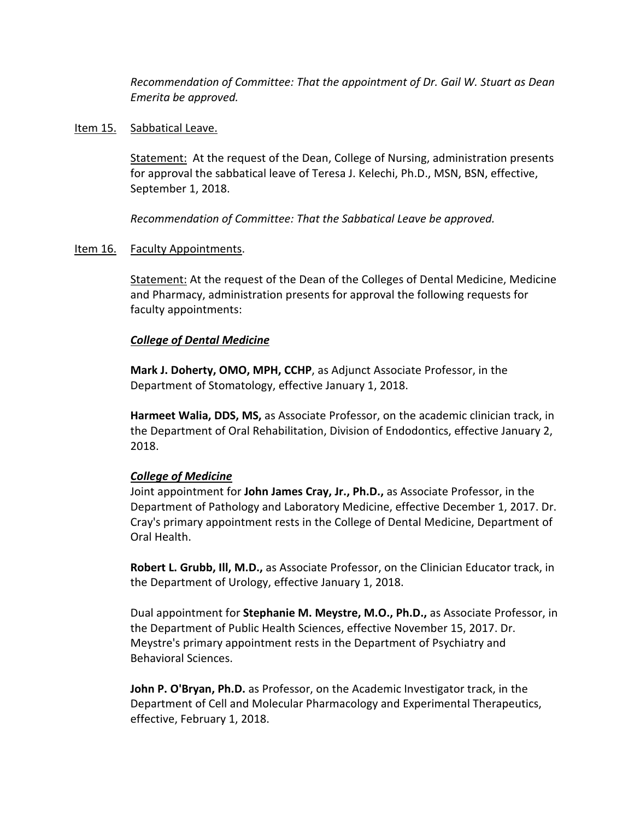*Recommendation of Committee: That the appointment of Dr. Gail W. Stuart as Dean Emerita be approved.* 

# Item 15. Sabbatical Leave.

Statement: At the request of the Dean, College of Nursing, administration presents for approval the sabbatical leave of Teresa J. Kelechi, Ph.D., MSN, BSN, effective, September 1, 2018.

*Recommendation of Committee: That the Sabbatical Leave be approved.*

# Item 16. Faculty Appointments.

Statement: At the request of the Dean of the Colleges of Dental Medicine, Medicine and Pharmacy, administration presents for approval the following requests for faculty appointments:

# *College of Dental Medicine*

**Mark J. Doherty, OMO, MPH, CCHP**, as Adjunct Associate Professor, in the Department of Stomatology, effective January 1, 2018.

**Harmeet Walia, DDS, MS,** as Associate Professor, on the academic clinician track, in the Department of Oral Rehabilitation, Division of Endodontics, effective January 2, 2018.

# *College of Medicine*

Joint appointment for **John James Cray, Jr., Ph.D.,** as Associate Professor, in the Department of Pathology and Laboratory Medicine, effective December 1, 2017. Dr. Cray's primary appointment rests in the College of Dental Medicine, Department of Oral Health.

**Robert L. Grubb, Ill, M.D.,** as Associate Professor, on the Clinician Educator track, in the Department of Urology, effective January 1, 2018.

Dual appointment for **Stephanie M. Meystre, M.O., Ph.D.,** as Associate Professor, in the Department of Public Health Sciences, effective November 15, 2017. Dr. Meystre's primary appointment rests in the Department of Psychiatry and Behavioral Sciences.

**John P. O'Bryan, Ph.D.** as Professor, on the Academic Investigator track, in the Department of Cell and Molecular Pharmacology and Experimental Therapeutics, effective, February 1, 2018.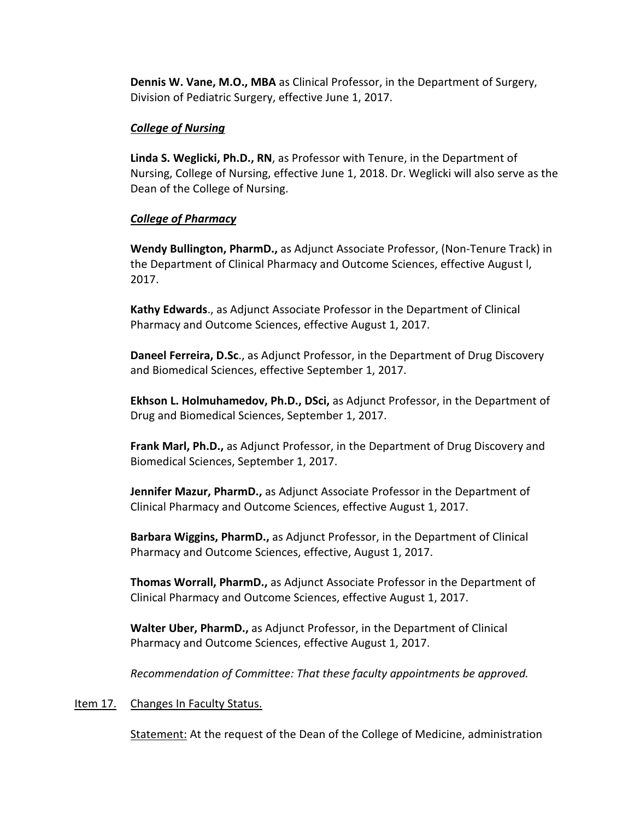**Dennis W. Vane, M.O., MBA** as Clinical Professor, in the Department of Surgery, Division of Pediatric Surgery, effective June 1, 2017.

# *College of Nursing*

**Linda S. Weglicki, Ph.D., RN**, as Professor with Tenure, in the Department of Nursing, College of Nursing, effective June 1, 2018. Dr. Weglicki will also serve as the Dean of the College of Nursing.

# *College of Pharmacy*

**Wendy Bullington, PharmD.,** as Adjunct Associate Professor, (Non-Tenure Track) in the Department of Clinical Pharmacy and Outcome Sciences, effective August l, 2017.

**Kathy Edwards**., as Adjunct Associate Professor in the Department of Clinical Pharmacy and Outcome Sciences, effective August 1, 2017.

**Daneel Ferreira, D.Sc**., as Adjunct Professor, in the Department of Drug Discovery and Biomedical Sciences, effective September 1, 2017.

**Ekhson L. Holmuhamedov, Ph.D., DSci,** as Adjunct Professor, in the Department of Drug and Biomedical Sciences, September 1, 2017.

**Frank Marl, Ph.D.,** as Adjunct Professor, in the Department of Drug Discovery and Biomedical Sciences, September 1, 2017.

**Jennifer Mazur, PharmD.,** as Adjunct Associate Professor in the Department of Clinical Pharmacy and Outcome Sciences, effective August 1, 2017.

**Barbara Wiggins, PharmD.,** as Adjunct Professor, in the Department of Clinical Pharmacy and Outcome Sciences, effective, August 1, 2017.

**Thomas Worrall, PharmD.,** as Adjunct Associate Professor in the Department of Clinical Pharmacy and Outcome Sciences, effective August 1, 2017.

**Walter Uber, PharmD.,** as Adjunct Professor, in the Department of Clinical Pharmacy and Outcome Sciences, effective August 1, 2017.

*Recommendation of Committee: That these faculty appointments be approved.*

### Item 17. Changes In Faculty Status.

**Statement:** At the request of the Dean of the College of Medicine, administration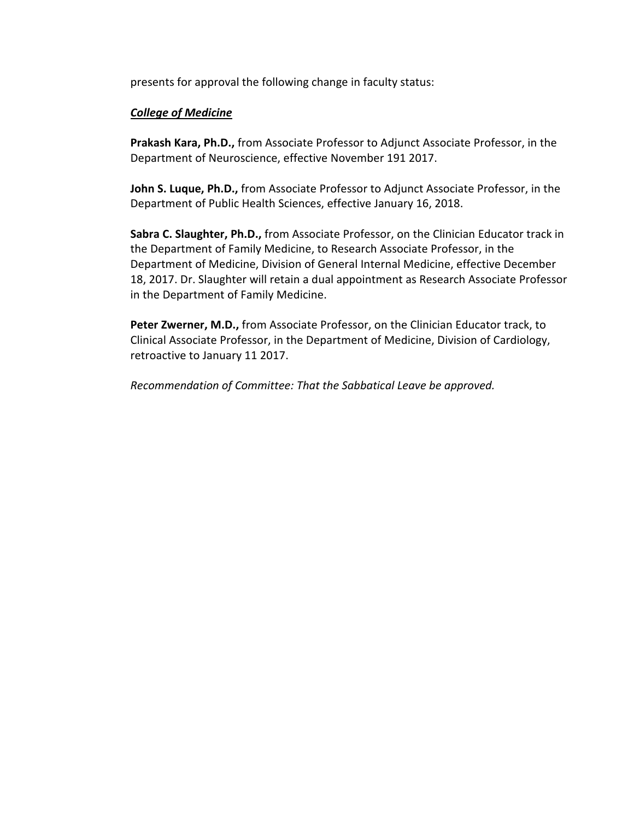presents for approval the following change in faculty status:

# *College of Medicine*

**Prakash Kara, Ph.D.,** from Associate Professor to Adjunct Associate Professor, in the Department of Neuroscience, effective November 191 2017.

**John S. Luque, Ph.D.,** from Associate Professor to Adjunct Associate Professor, in the Department of Public Health Sciences, effective January 16, 2018.

**Sabra C. Slaughter, Ph.D.,** from Associate Professor, on the Clinician Educator track in the Department of Family Medicine, to Research Associate Professor, in the Department of Medicine, Division of General Internal Medicine, effective December 18, 2017. Dr. Slaughter will retain a dual appointment as Research Associate Professor in the Department of Family Medicine.

**Peter Zwerner, M.D.,** from Associate Professor, on the Clinician Educator track, to Clinical Associate Professor, in the Department of Medicine, Division of Cardiology, retroactive to January 11 2017.

*Recommendation of Committee: That the Sabbatical Leave be approved.*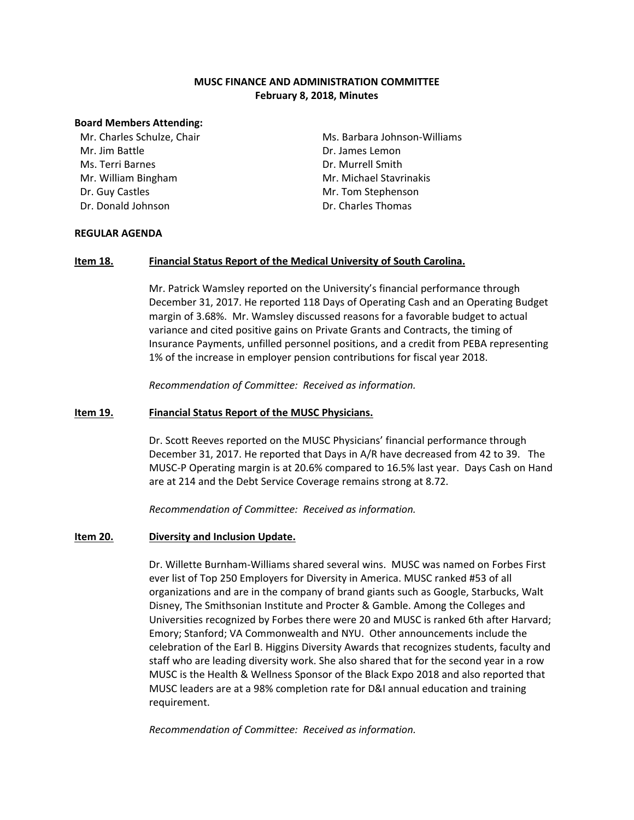### **MUSC FINANCE AND ADMINISTRATION COMMITTEE February 8, 2018, Minutes**

#### **Board Members Attending:**

Mr. Charles Schulze, Chair Mr. Jim Battle Ms. Terri Barnes Mr. William Bingham Dr. Guy Castles Dr. Donald Johnson

Ms. Barbara Johnson-Williams Dr. James Lemon Dr. Murrell Smith Mr. Michael Stavrinakis Mr. Tom Stephenson Dr. Charles Thomas

#### **REGULAR AGENDA**

#### **Item 18. Financial Status Report of the Medical University of South Carolina.**

Mr. Patrick Wamsley reported on the University's financial performance through December 31, 2017. He reported 118 Days of Operating Cash and an Operating Budget margin of 3.68%. Mr. Wamsley discussed reasons for a favorable budget to actual variance and cited positive gains on Private Grants and Contracts, the timing of Insurance Payments, unfilled personnel positions, and a credit from PEBA representing 1% of the increase in employer pension contributions for fiscal year 2018.

*Recommendation of Committee: Received as information.*

#### **Item 19. Financial Status Report of the MUSC Physicians.**

Dr. Scott Reeves reported on the MUSC Physicians' financial performance through December 31, 2017. He reported that Days in A/R have decreased from 42 to 39. The MUSC-P Operating margin is at 20.6% compared to 16.5% last year. Days Cash on Hand are at 214 and the Debt Service Coverage remains strong at 8.72.

*Recommendation of Committee: Received as information.*

#### **Item 20. Diversity and Inclusion Update.**

Dr. Willette Burnham-Williams shared several wins. MUSC was named on Forbes First ever list of Top 250 Employers for Diversity in America. MUSC ranked #53 of all organizations and are in the company of brand giants such as Google, Starbucks, Walt Disney, The Smithsonian Institute and Procter & Gamble. Among the Colleges and Universities recognized by Forbes there were 20 and MUSC is ranked 6th after Harvard; Emory; Stanford; VA Commonwealth and NYU. Other announcements include the celebration of the Earl B. Higgins Diversity Awards that recognizes students, faculty and staff who are leading diversity work. She also shared that for the second year in a row MUSC is the Health & Wellness Sponsor of the Black Expo 2018 and also reported that MUSC leaders are at a 98% completion rate for D&I annual education and training requirement.

*Recommendation of Committee: Received as information.*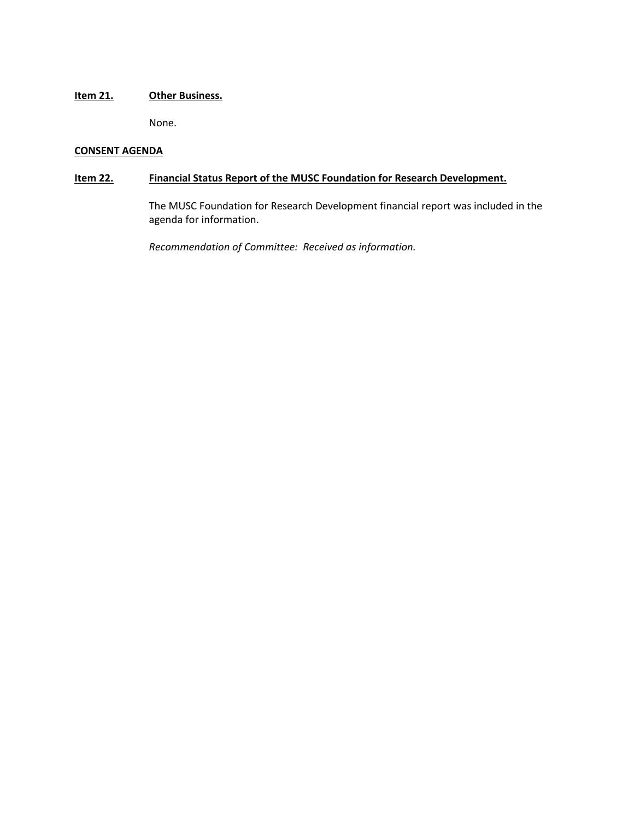## **Item 21. Other Business.**

None.

### **CONSENT AGENDA**

# **Item 22. Financial Status Report of the MUSC Foundation for Research Development.**

The MUSC Foundation for Research Development financial report was included in the agenda for information.

*Recommendation of Committee: Received as information.*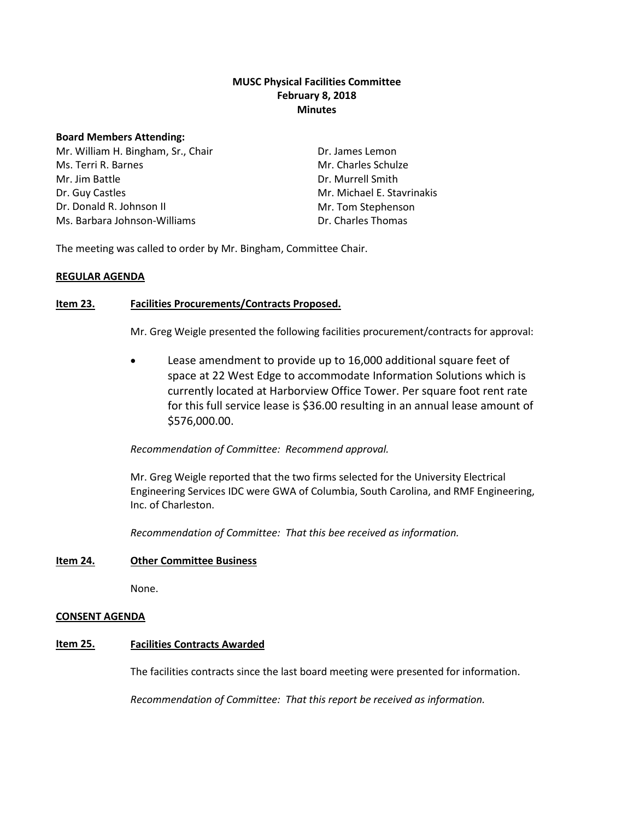### **MUSC Physical Facilities Committee February 8, 2018 Minutes**

#### **Board Members Attending:**

Mr. William H. Bingham, Sr., Chair Ms. Terri R. Barnes Mr. Jim Battle Dr. Guy Castles Dr. Donald R. Johnson II Ms. Barbara Johnson-Williams

Dr. James Lemon Mr. Charles Schulze Dr. Murrell Smith Mr. Michael E. Stavrinakis Mr. Tom Stephenson Dr. Charles Thomas

The meeting was called to order by Mr. Bingham, Committee Chair.

#### **REGULAR AGENDA**

#### **Item 23. Facilities Procurements/Contracts Proposed.**

Mr. Greg Weigle presented the following facilities procurement/contracts for approval:

• Lease amendment to provide up to 16,000 additional square feet of space at 22 West Edge to accommodate Information Solutions which is currently located at Harborview Office Tower. Per square foot rent rate for this full service lease is \$36.00 resulting in an annual lease amount of \$576,000.00.

#### *Recommendation of Committee: Recommend approval.*

Mr. Greg Weigle reported that the two firms selected for the University Electrical Engineering Services IDC were GWA of Columbia, South Carolina, and RMF Engineering, Inc. of Charleston.

*Recommendation of Committee: That this bee received as information.*

#### **Item 24. Other Committee Business**

None.

#### **CONSENT AGENDA**

#### **Item 25. Facilities Contracts Awarded**

The facilities contracts since the last board meeting were presented for information.

*Recommendation of Committee: That this report be received as information.*